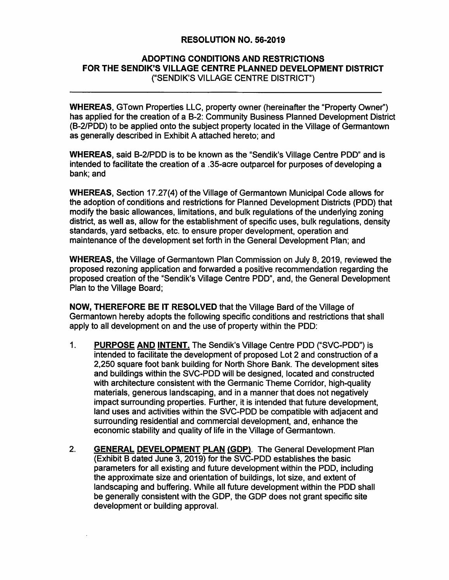## **RESOLUTION NO. 56-2019**

## **ADOPTING CONDITIONS AND RESTRICTIONS FOR THE SENDIK'S VILLAGE CENTRE PLANNED DEVELOPMENT DISTRICT**  ("SENDIK'S VILLAGE CENTRE DISTRICT")

**WHEREAS,** GTown Properties LLC, property owner (hereinafter the "Property Owner") has applied for the creation of a 8-2: Community Business Planned Development District (B-2/PDD) to be applied onto the subject property located in the Village of Germantown as generally described in Exhibit A attached hereto; and

**WHEREAS,** said B-2/PDD is to be known as the "Sendik's Village Centre PDD" and is intended to facilitate the creation of a .35-acre outparcel for purposes of developing a bank; and

**WHEREAS,** Section 17.27(4) of the Village of Germantown Municipal Code allows for the adoption of conditions and restrictions for Planned Development Districts (PDD) that modify the basic allowances, limitations, and bulk regulations of the underlying zoning district, as well as, allow for the establishment of specific uses, bulk regulations, density standards, yard setbacks, etc. to ensure proper development, operation and maintenance of the development set forth in the General Development Plan; and

**WHEREAS,** the Village of Germantown Plan Commission on July 8, 2019, reviewed the proposed rezoning application and forwarded a positive recommendation regarding the proposed creation of the "Sendik's Village Centre PDD", and, the General Development Plan to the Village Board;

**NOW, THEREFORE BE IT RESOLVED** that the Village Bard of the Village of Germantown hereby adopts the following specific conditions and restrictions that shall apply to all development on and the use of property within the PDD:

- 1. **PURPOSE AND INTENT.** The Sendik's Village Centre POD ("SVC-PDD") is intended to facilitate the development of proposed Lot 2 and construction of a 2,250 square foot bank building for North Shore Bank. The development sites and buildings within the SVC-PDD will be designed, located and constructed with architecture consistent with the Germanic Theme Corridor, high-quality materials, generous landscaping, and in a manner that does not negatively impact surrounding properties. Further, it is intended that future development, land uses and activities within the SVC-PDD be compatible with adjacent and surrounding residential and commercial development, and, enhance the economic stability and quality of life in the Village of Germantown.
- 2. **GENERAL DEVELOPMENT PLAN (GDP).** The General Development Plan (Exhibit B dated June 3, 2019) for the SVC-PDD establishes the basic parameters for all existing and future development within the PDD, including the approximate size and orientation of buildings, lot size, and extent of landscaping and buffering. While all future development within the PDD shall be generally consistent with the GDP, the GDP does not grant specific site development or building approval.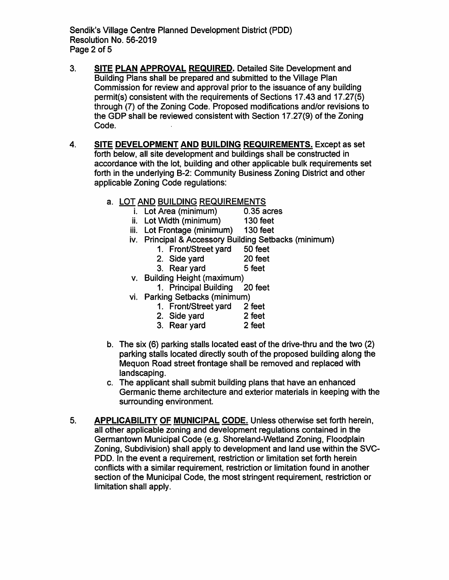Sendik's Village Centre Planned Development District (POD) Resolution No. 56-2019 Page 2 of 5

- 3. **SITE PLAN APPROVAL REQUIRED.** Detailed Site Development and Building Plans shall be prepared and submitted to the Village Plan Commission for review and approval prior to the issuance of any building permit(s) consistent with the requirements of Sections 17.43 and 17.27(5) through (7) of the Zoning Code. Proposed modifications and/or revisions to the GDP shall be reviewed consistent with Section 17.27(9) of the Zoning Code.
- 4. **SITE DEVELOPMENT AND BUILDING REQUIREMENTS.** Except as set forth below, all site development and buildings shall be constructed in accordance with the lot, building and other applicable bulk requirements set forth in the underlying B-2: Community Business Zoning District and other applicable Zoning Code regulations:
	- a. LOT AND BUILDING REQUIREMENTS
		- i. Lot Area (minimum) 0.35 acres<br>ii. Lot Width (minimum) 130 feet
		- ii. Lot Width (minimum)
		- iii. Lot Frontage (minimum) 130 feet
		- iv. Principal & Accessory Building Setbacks (minimum)
			- 1. Front/Street yard 50 feet
			- 2. Side yard 20 feet
			- 3. Rear yard 5 feet
			-
		- v. Building Height (maximum) 1. Principal Building
		- vi. Parking Setbacks (minimum)
			- 1. Front/Street yard 2 feet
			-
			- 2. Side yard 2 feet<br>
			2. Rear vard 2 feet 3. Rear yard
	- b. The six (6) parking stalls located east of the drive-thru and the two (2) parking stalls located directly south of the proposed building along the Mequon Road street frontage shall be removed and replaced with landscaping.
	- c. The applicant shall submit building plans that have an enhanced Germanic theme architecture and exterior materials in keeping with the surrounding environment.
- 5. **APPLICABILITY OF MUNICIPAL CODE.** Unless otherwise set forth herein, all other applicable zoning and development regulations contained in the Germantown Municipal Code (e.g. Shoreland-Wetland Zoning, Floodplain Zoning, Subdivision) shall apply to development and land use within the SVC-PDD. In the event a requirement, restriction or limitation set forth herein conflicts with a similar requirement, restriction or limitation found in another section of the Municipal Code, the most stringent requirement, restriction or limitation shall apply.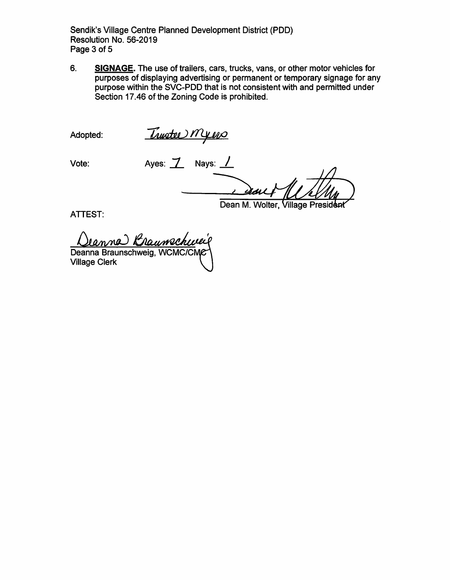Sendik's Village Centre Planned Development District (POD) Resolution No. 56-2019 Page 3 of 5

6. **SIGNAGE.** The use of trailers, cars, trucks, vans, or other motor vehicles for purposes of displaying advertising or permanent or temporary signage for any purpose within the SVC-PDD that is not consistent with and permitted under Section 17.46 of the Zoning Code is prohibited.

Adopted:

<u>Trustee Myers</u>

Vote: **Ayes: 7** Nays: <u>1</u>

Dean M. Wolter, Village President

ATTEST:

Deanna Braunschweig

Village Clerk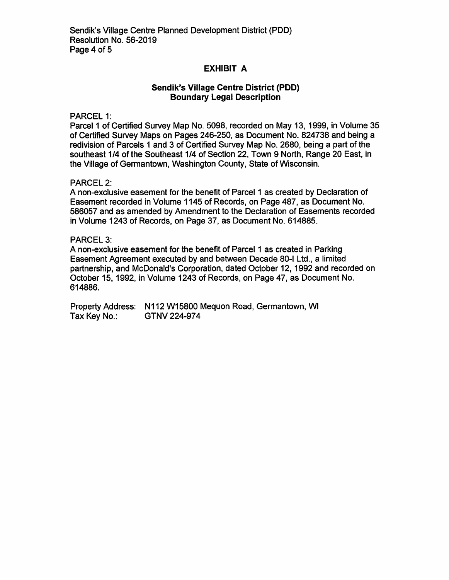## **EXHIBIT A**

## **Sendik's Village Centre District (PDD} Boundary Legal Description**

PARCEL 1:

Parcel 1 of Certified Survey Map No. 5098, recorded on May 13, 1999, in Volume 35 of Certified Survey Maps on Pages 246-250, as Document No. 824738 and being a redivision of Parcels 1 and 3 of Certified Survey Map No. 2680, being a part of the southeast 1/4 of the Southeast 1/4 of Section 22, Town 9 North, Range 20 East, in the Village of Germantown, Washington County, State of Wisconsin.

#### PARCEL 2:

A non-exclusive easement for the benefit of Parcel 1 as created by Declaration of Easement recorded in Volume 1145 of Records, on Page 487, as Document No. 586057 and as amended by Amendment to the Declaration of Easements recorded in Volume 1243 of Records, on Page 37, as Document No. 614885.

### PARCEL 3:

A non-exclusive easement for the benefit of Parcel 1 as created in Parking Easement Agreement executed by and between Decade 80-1 Ltd., a limited partnership, and McDonald's Corporation, dated October 12, 1992 and recorded on October 15, 1992, in Volume 1243 of Records, on Page 47, as Document No. 614886.

Property Address: N112 W15800 Mequon Road, Germantown, WI Tax Key No.: GTNV 224-974